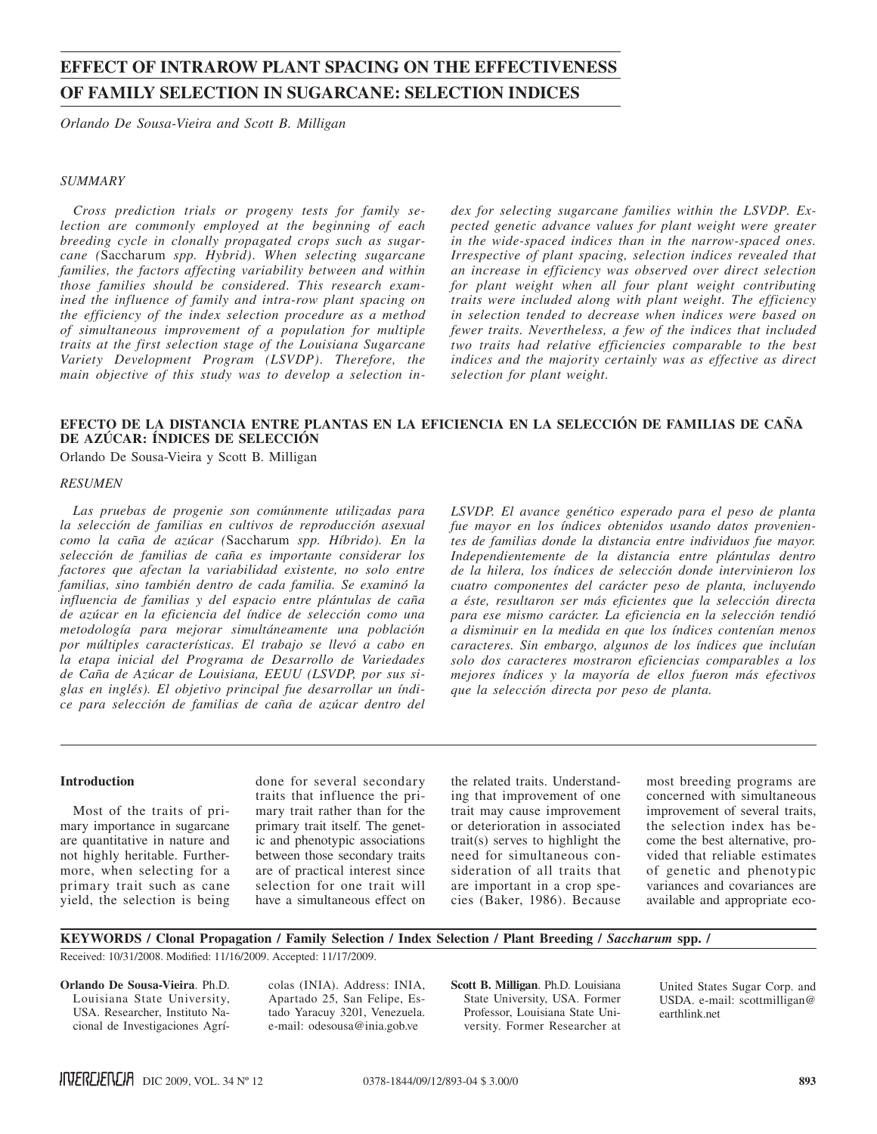# **EFFECT OF INTRAROW PLANT SPACING ON THE EFFECTIVENESS OF FAMILY SELECTION IN SUGARCANE: SELECTION INDICES**

*Orlando De Sousa-Vieira and Scott B. Milligan*

## *SUMMARY*

*Cross prediction trials or progeny tests for family selection are commonly employed at the beginning of each breeding cycle in clonally propagated crops such as sugarcane (*Saccharum *spp. Hybrid). When selecting sugarcane families, the factors affecting variability between and within those families should be considered. This research examined the influence of family and intra-row plant spacing on the efficiency of the index selection procedure as a method of simultaneous improvement of a population for multiple traits at the first selection stage of the Louisiana Sugarcane Variety Development Program (LSVDP). Therefore, the main objective of this study was to develop a selection in-* *dex for selecting sugarcane families within the LSVDP. Expected genetic advance values for plant weight were greater in the wide-spaced indices than in the narrow-spaced ones. Irrespective of plant spacing, selection indices revealed that an increase in efficiency was observed over direct selection for plant weight when all four plant weight contributing traits were included along with plant weight. The efficiency in selection tended to decrease when indices were based on fewer traits. Nevertheless, a few of the indices that included two traits had relative efficiencies comparable to the best indices and the majority certainly was as effective as direct selection for plant weight.*

# **EFECTO DE LA DISTANCIA ENTRE PLANTAS EN LA EFICIENCIA EN LA SELECCIÓN DE FAMILIAS DE CAÑA DE AZÚCAR: ÍNDICES DE SELECCIÓN**

Orlando De Sousa-Vieira y Scott B. Milligan

## *RESUMEN*

*Las pruebas de progenie son comúnmente utilizadas para la selección de familias en cultivos de reproducción asexual como la caña de azúcar (*Saccharum *spp. Híbrido). En la selección de familias de caña es importante considerar los factores que afectan la variabilidad existente, no solo entre familias, sino también dentro de cada familia. Se examinó la influencia de familias y del espacio entre plántulas de caña de azúcar en la eficiencia del índice de selección como una metodología para mejorar simultáneamente una población por múltiples características. El trabajo se llevó a cabo en la etapa inicial del Programa de Desarrollo de Variedades de Caña de Azúcar de Louisiana, EEUU (LSVDP, por sus siglas en inglés). El objetivo principal fue desarrollar un índice para selección de familias de caña de azúcar dentro del* 

*LSVDP. El avance genético esperado para el peso de planta fue mayor en los índices obtenidos usando datos provenientes de familias donde la distancia entre individuos fue mayor. Independientemente de la distancia entre plántulas dentro de la hilera, los índices de selección donde intervinieron los cuatro componentes del carácter peso de planta, incluyendo a éste, resultaron ser más eficientes que la selección directa para ese mismo carácter. La eficiencia en la selección tendió a disminuir en la medida en que los índices contenían menos caracteres. Sin embargo, algunos de los índices que incluían solo dos caracteres mostraron eficiencias comparables a los mejores índices y la mayoría de ellos fueron más efectivos que la selección directa por peso de planta.*

#### **Introduction**

Most of the traits of primary importance in sugarcane are quantitative in nature and not highly heritable. Furthermore, when selecting for a primary trait such as cane yield, the selection is being done for several secondary traits that influence the primary trait rather than for the primary trait itself. The genetic and phenotypic associations between those secondary traits are of practical interest since selection for one trait will have a simultaneous effect on

the related traits. Understanding that improvement of one trait may cause improvement or deterioration in associated trait(s) serves to highlight the need for simultaneous consideration of all traits that are important in a crop species (Baker, 1986). Because most breeding programs are concerned with simultaneous improvement of several traits, the selection index has become the best alternative, provided that reliable estimates of genetic and phenotypic variances and covariances are available and appropriate eco-

# **Keywords / Clonal Propagation / Family Selection / Index Selection / Plant Breeding /** *Saccharum* **spp. /**

Received: 10/31/2008. Modified: 11/16/2009. Accepted: 11/17/2009.

**Orlando De Sousa-Vieira**. Ph.D. Louisiana State University, USA. Researcher, Instituto Nacional de Investigaciones Agrícolas (INIA). Address: INIA, Apartado 25, San Felipe, Estado Yaracuy 3201, Venezuela. e-mail: odesousa@inia.gob.ve

**Scott B. Milligan**. Ph.D. Louisiana State University, USA. Former Professor, Louisiana State University. Former Researcher at

United States Sugar Corp. and USDA. e-mail: scottmilligan@ earthlink.net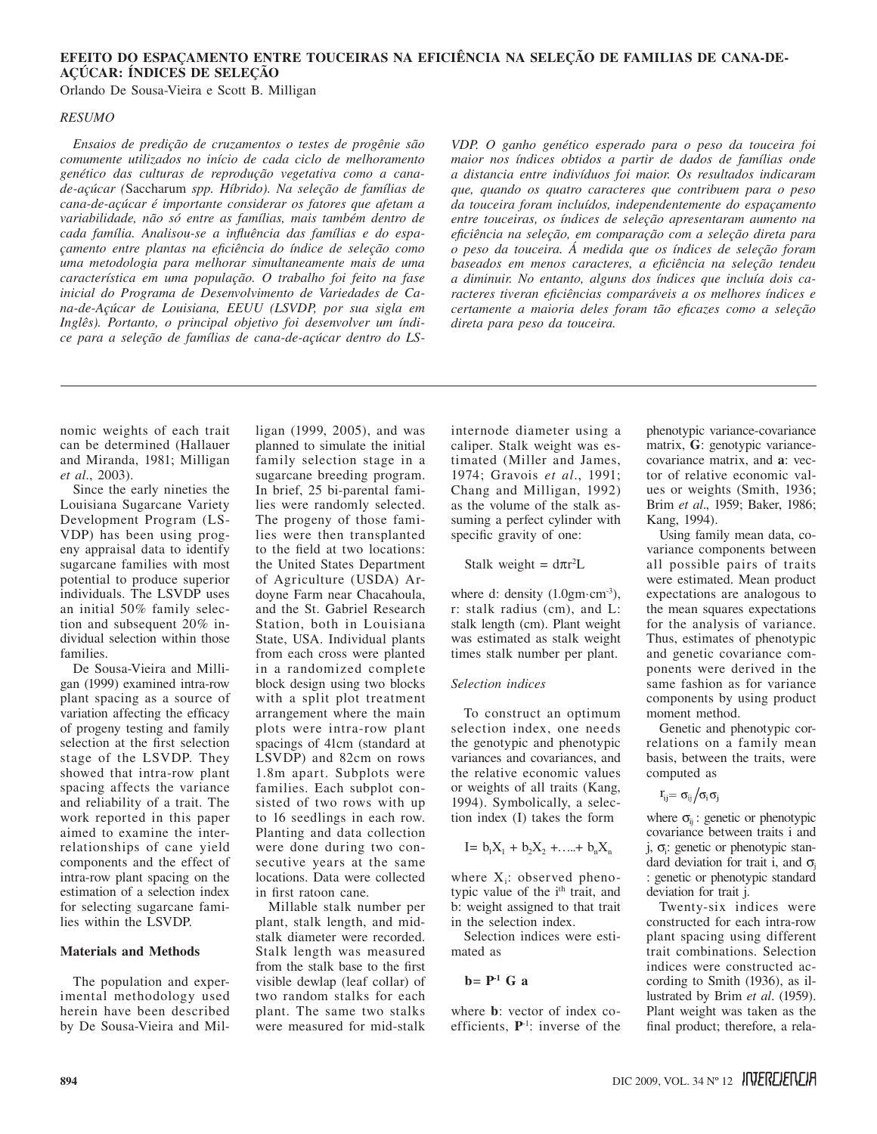# **EFEITO DO ESPAÇAMENTO ENTRE TOUCEIRAS NA EFICIÊNCIA NA SELEÇÃO DE FAMILIAS DE CANA-DE-AÇÚCAR: ÍNDICES DE SELEÇÃO**

Orlando De Sousa-Vieira e Scott B. Milligan

## *RESUMO*

*Ensaios de predição de cruzamentos o testes de progênie são comumente utilizados no início de cada ciclo de melhoramento genético das culturas de reprodução vegetativa como a canade-açúcar (*Saccharum *spp. Híbrido). Na seleção de famílias de cana-de-açúcar é importante considerar os fatores que afetam a variabilidade, não só entre as famílias, mais também dentro de cada família. Analisou-se a influência das famílias e do espaçamento entre plantas na eficiência do índice de seleção como uma metodologia para melhorar simultaneamente mais de uma característica em uma população. O trabalho foi feito na fase inicial do Programa de Desenvolvimento de Variedades de Cana-de-Açúcar de Louisiana, EEUU (LSVDP, por sua sigla em Inglês). Portanto, o principal objetivo foi desenvolver um índice para a seleção de famílias de cana-de-açúcar dentro do LS-*

*VDP. O ganho genético esperado para o peso da touceira foi maior nos índices obtidos a partir de dados de famílias onde a distancia entre indivíduos foi maior. Os resultados indicaram que, quando os quatro caracteres que contribuem para o peso da touceira foram incluídos, independentemente do espaçamento entre touceiras, os índices de seleção apresentaram aumento na eficiência na seleção, em comparação com a seleção direta para o peso da touceira. Á medida que os índices de seleção foram baseados em menos caracteres, a eficiência na seleção tendeu a diminuir. No entanto, alguns dos índices que incluía dois caracteres tiveran eficiências comparáveis a os melhores índices e certamente a maioria deles foram tão eficazes como a seleção direta para peso da touceira.*

nomic weights of each trait can be determined (Hallauer and Miranda, 1981; Milligan *et al.*, 2003).

Since the early nineties the Louisiana Sugarcane Variety Development Program (LS-VDP) has been using progeny appraisal data to identify sugarcane families with most potential to produce superior individuals. The LSVDP uses an initial 50% family selection and subsequent 20% individual selection within those families.

De Sousa-Vieira and Milligan (1999) examined intra-row plant spacing as a source of variation affecting the efficacy of progeny testing and family selection at the first selection stage of the LSVDP. They showed that intra-row plant spacing affects the variance and reliability of a trait. The work reported in this paper aimed to examine the interrelationships of cane yield components and the effect of intra-row plant spacing on the estimation of a selection index for selecting sugarcane families within the LSVDP.

## **Materials and Methods**

The population and experimental methodology used herein have been described by De Sousa-Vieira and Milligan (1999, 2005), and was planned to simulate the initial family selection stage in a sugarcane breeding program. In brief, 25 bi-parental families were randomly selected. The progeny of those families were then transplanted to the field at two locations: the United States Department of Agriculture (USDA) Ardoyne Farm near Chacahoula, and the St. Gabriel Research Station, both in Louisiana State, USA. Individual plants from each cross were planted in a randomized complete block design using two blocks with a split plot treatment arrangement where the main plots were intra-row plant spacings of 41cm (standard at LSVDP) and 82cm on rows 1.8m apart. Subplots were families. Each subplot consisted of two rows with up to 16 seedlings in each row. Planting and data collection were done during two consecutive years at the same locations. Data were collected in first ratoon cane.

Millable stalk number per plant, stalk length, and midstalk diameter were recorded. Stalk length was measured from the stalk base to the first visible dewlap (leaf collar) of two random stalks for each plant. The same two stalks were measured for mid-stalk

internode diameter using a caliper. Stalk weight was estimated (Miller and James, 1974; Gravois *et al*., 1991; Chang and Milligan, 1992) as the volume of the stalk assuming a perfect cylinder with specific gravity of one:

Stalk weight =  $d\pi r^2L$ 

where d: density  $(1.0 \text{gm}\cdot \text{cm}^{-3})$ , r: stalk radius (cm), and L: stalk length (cm). Plant weight was estimated as stalk weight times stalk number per plant.

### *Selection indices*

To construct an optimum selection index, one needs the genotypic and phenotypic variances and covariances, and the relative economic values or weights of all traits (Kang, 1994). Symbolically, a selection index (I) takes the form

$$
I = b_1 X_1 + b_2 X_2 + \ldots + b_n X_n
$$

where  $X_i$ : observed phenotypic value of the i<sup>th</sup> trait, and b: weight assigned to that trait in the selection index.

Selection indices were estimated as

## $b = P<sup>-1</sup>$  G a

where **b**: vector of index coefficients, **P**-1: inverse of the phenotypic variance-covariance matrix, **G**: genotypic variancecovariance matrix, and **a**: vector of relative economic values or weights (Smith, 1936; Brim *et al*., 1959; Baker, 1986; Kang, 1994).

Using family mean data, covariance components between all possible pairs of traits were estimated. Mean product expectations are analogous to the mean squares expectations for the analysis of variance. Thus, estimates of phenotypic and genetic covariance components were derived in the same fashion as for variance components by using product moment method.

Genetic and phenotypic correlations on a family mean basis, between the traits, were computed as

$$
r_{ij} = \sigma_{ij}/\sigma_i \sigma_j
$$

where  $\sigma_{ii}$ : genetic or phenotypic covariance between traits i and j, σ<sub>i</sub>: genetic or phenotypic standard deviation for trait i, and  $\sigma_i$ : genetic or phenotypic standard deviation for trait j.

Twenty-six indices were constructed for each intra-row plant spacing using different trait combinations. Selection indices were constructed according to Smith (1936), as illustrated by Brim *et al*. (1959). Plant weight was taken as the final product; therefore, a rela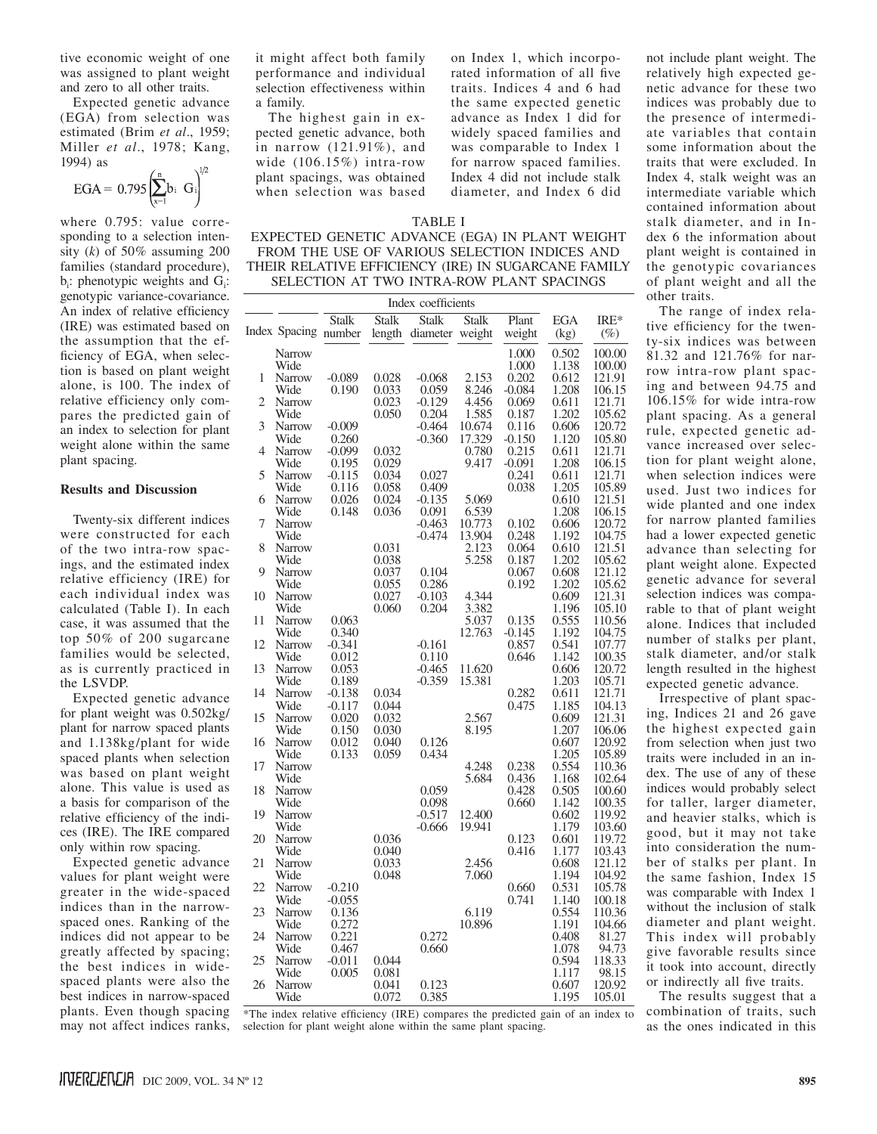tive economic weight of one was assigned to plant weight and zero to all other traits.

Expected genetic advance (EGA) from selection was estimated (Brim *et al*., 1959; Miller *et al*., 1978; Kang, 1994) as  $\cdot$  1/2

$$
EGA = 0.795 \left( \sum_{x=1}^{n} b_i \ G_i \right)^{1/2}
$$

where 0.795: value corresponding to a selection intensity  $(k)$  of 50% assuming 200 families (standard procedure),  $b_i$ : phenotypic weights and  $G_i$ : genotypic variance-covariance. An index of relative efficiency (IRE) was estimated based on the assumption that the efficiency of EGA, when selection is based on plant weight alone, is 100. The index of relative efficiency only compares the predicted gain of an index to selection for plant weight alone within the same plant spacing.

# **Results and Discussion**

Twenty-six different indices were constructed for each of the two intra-row spacings, and the estimated index relative efficiency (IRE) for each individual index was calculated (Table I). In each case, it was assumed that the top 50% of 200 sugarcane families would be selected, as is currently practiced in the LSVDP.

Expected genetic advance for plant weight was 0.502kg/ plant for narrow spaced plants and 1.138kg/plant for wide spaced plants when selection was based on plant weight alone. This value is used as a basis for comparison of the relative efficiency of the indices (IRE). The IRE compared only within row spacing.

Expected genetic advance values for plant weight were greater in the wide-spaced indices than in the narrowspaced ones. Ranking of the indices did not appear to be greatly affected by spacing; the best indices in widespaced plants were also the best indices in narrow-spaced plants. Even though spacing may not affect indices ranks,

it might affect both family performance and individual selection effectiveness within a family.

The highest gain in expected genetic advance, both in narrow (121.91%), and wide (106.15%) intra-row plant spacings, was obtained when selection was based

on Index 1, which incorporated information of all five traits. Indices 4 and 6 had the same expected genetic advance as Index 1 did for widely spaced families and was comparable to Index 1 for narrow spaced families. Index 4 did not include stalk diameter, and Index 6 did

|--|--|

EXPECTED GENETIC ADVANCE (EGA) IN PLANT WEIGHT FROM THE USE OF VARIOUS SELECTION INDICES AND THEIR RELATIVE EFFICIENCY (IRE) IN SUGARCANE FAMILY SELECTION AT TWO INTRA-ROW PLANT SPACINGS

| Index coefficients |                      |              |                |              |              |                |                |                  |  |
|--------------------|----------------------|--------------|----------------|--------------|--------------|----------------|----------------|------------------|--|
|                    |                      | <b>Stalk</b> | <b>Stalk</b>   | <b>Stalk</b> | <b>Stalk</b> | Plant          | EGA            | $IRE*$           |  |
|                    | Index Spacing number |              | length         | diameter     | weight       | weight         | (kg)           | (%)              |  |
|                    | Narrow               |              |                |              |              | 1.000          | 0.502          | 100.00           |  |
|                    | Wide                 |              |                |              |              | 1.000          | 1.138          | 100.00           |  |
| 1                  | Narrow               | $-0.089$     | 0.028          | $-0.068$     | 2.153        | 0.202          | 0.612          | 121.91           |  |
|                    | Wide                 | 0.190        | 0.033          | 0.059        | 8.246        | $-0.084$       | 1.208          | 106.15           |  |
| 2                  | Narrow               |              | 0.023          | $-0.129$     | 4.456        | 0.069          | 0.611          | 121.71           |  |
|                    | Wide                 |              | 0.050          | 0.204        | 1.585        | 0.187          | 1.202          | 105.62           |  |
| 3                  | Narrow               | $-0.009$     |                | -0.464       | 10.674       | 0.116          | 0.606          | 120.72           |  |
|                    | Wide                 | 0.260        |                | $-0.360$     | 17.329       | $-0.150$       | 1.120          | 105.80           |  |
| $\overline{4}$     | Narrow               | $-0.099$     | 0.032          |              | 0.780        | 0.215          | 0.611          | 121.71           |  |
|                    | Wide                 | 0.195        | 0.029          |              | 9.417        | $-0.091$       | 1.208          | 106.15           |  |
| 5                  | Narrow               | $-0.115$     | 0.034          | 0.027        |              | 0.241          | 0.611          | 121.71           |  |
|                    | Wide                 | 0.116        | 0.058          | 0.409        |              | 0.038          | 1.205          | 105.89           |  |
| 6                  | <b>Narrow</b>        | 0.026        | 0.024          | $-0.135$     | 5.069        |                | 0.610          | 121.51           |  |
|                    | Wide                 | 0.148        | 0.036          | 0.091        | 6.539        |                | 1.208          | 106.15           |  |
| 7                  | Narrow               |              |                | $-0.463$     | 10.773       | 0.102          | 0.606          | 120.72           |  |
|                    | Wide                 |              |                | -0.474       | 13.904       | 0.248<br>0.064 | 1.192          | 104.75<br>121.51 |  |
| 8                  | Narrow               |              | 0.031          |              | 2.123        |                | 0.610          |                  |  |
| 9                  | Wide<br>Narrow       |              | 0.038<br>0.037 | 0.104        | 5.258        | 0.187<br>0.067 | 1.202<br>0.608 | 105.62<br>121.12 |  |
|                    | Wide                 |              | 0.055          | 0.286        |              | 0.192          | 1.202          | 105.62           |  |
| 10                 | Narrow               |              | 0.027          | $-0.103$     | 4.344        |                | 0.609          | 121.31           |  |
|                    | Wide                 |              | 0.060          | 0.204        | 3.382        |                | 1.196          | 105.10           |  |
| 11                 | Narrow               | 0.063        |                |              | 5.037        | 0.135          | 0.555          | 110.56           |  |
|                    | Wide                 | 0.340        |                |              | 12.763       | $-0.145$       | 1.192          | 104.75           |  |
| 12                 | Narrow               | $-0.341$     |                | $-0.161$     |              | 0.857          | 0.541          | 107.77           |  |
|                    | Wide                 | 0.012        |                | 0.110        |              | 0.646          | 1.142          | 100.35           |  |
| 13                 | <b>Narrow</b>        | 0.053        |                | $-0.465$     | 11.620       |                | 0.606          | 120.72           |  |
|                    | Wide                 | 0.189        |                | $-0.359$     | 15.381       |                | 1.203          | 105.71           |  |
| 14                 | Narrow               | $-0.138$     | 0.034          |              |              | 0.282          | 0.611          | 121.71           |  |
|                    | Wide                 | $-0.117$     | 0.044          |              |              | 0.475          | 1.185          | 104.13           |  |
| 15                 | Narrow               | 0.020        | 0.032          |              | 2.567        |                | 0.609          | 121.31           |  |
|                    | Wide                 | 0.150        | 0.030          |              | 8.195        |                | 1.207          | 106.06           |  |
| 16                 | Narrow               | 0.012        | 0.040          | 0.126        |              |                | 0.607          | 120.92           |  |
|                    | Wide                 | 0.133        | 0.059          | 0.434        |              |                | 1.205          | 105.89           |  |
| 17                 | Narrow               |              |                |              | 4.248        | 0.238          | 0.554          | 110.36           |  |
|                    | Wide                 |              |                |              | 5.684        | 0.436          | 1.168          | 102.64           |  |
| 18                 | Narrow               |              |                | 0.059        |              | 0.428          | 0.505          | 100.60           |  |
|                    | Wide                 |              |                | 0.098        |              | 0.660          | 1.142          | 100.35           |  |
| 19                 | Narrow               |              |                | $-0.517$     | 12.400       |                | 0.602<br>1.179 | 119.92<br>103.60 |  |
| 20                 | Wide<br>Narrow       |              | 0.036          | $-0.666$     | 19.941       | 0.123          | 0.601          | 119.72           |  |
|                    | Wide                 |              | 0.040          |              |              | 0.416          | 1.177          | 103.43           |  |
| 21                 | Narrow               |              | 0.033          |              | 2.456        |                | 0.608          | 121.12           |  |
|                    | Wide                 |              | 0.048          |              | 7.060        |                | 1.194          | 104.92           |  |
| 22                 | Narrow               | $-0.210$     |                |              |              | 0.660          | 0.531          | 105.78           |  |
|                    | Wide                 | $-0.055$     |                |              |              | 0.741          | 1.140          | 100.18           |  |
| 23                 | Narrow               | 0.136        |                |              | 6.119        |                | 0.554          | 110.36           |  |
|                    | Wide                 | 0.272        |                |              | 10.896       |                | 1.191          | 104.66           |  |
| 24                 | Narrow               | 0.221        |                | 0.272        |              |                | 0.408          | 81.27            |  |
|                    | Wide                 | 0.467        |                | 0.660        |              |                | 1.078          | 94.73            |  |
| 25                 | Narrow               | $-0.011$     | 0.044          |              |              |                | 0.594          | 118.33           |  |
|                    | Wide                 | 0.005        | 0.081          |              |              |                | 1.117          | 98.15            |  |
| 26                 | Narrow               |              | 0.041          | 0.123        |              |                | 0.607          | 120.92           |  |
|                    | Wide                 |              | 0.072          | 0.385        |              |                | 1.195          | 105.01           |  |

not include plant weight. The relatively high expected genetic advance for these two indices was probably due to the presence of intermediate variables that contain some information about the traits that were excluded. In Index 4, stalk weight was an intermediate variable which contained information about stalk diameter, and in Index 6 the information about plant weight is contained in the genotypic covariances of plant weight and all the other traits.

The range of index relative efficiency for the twenty-six indices was between 81.32 and 121.76% for narrow intra-row plant spacing and between 94.75 and 106.15% for wide intra-row plant spacing. As a general rule, expected genetic advance increased over selection for plant weight alone, when selection indices were used. Just two indices for wide planted and one index for narrow planted families had a lower expected genetic advance than selecting for plant weight alone. Expected genetic advance for several selection indices was comparable to that of plant weight alone. Indices that included number of stalks per plant, stalk diameter, and/or stalk length resulted in the highest expected genetic advance.

Irrespective of plant spacing, Indices 21 and 26 gave the highest expected gain from selection when just two traits were included in an index. The use of any of these indices would probably select for taller, larger diameter, and heavier stalks, which is good, but it may not take into consideration the number of stalks per plant. In the same fashion, Index 15 was comparable with Index 1 without the inclusion of stalk diameter and plant weight. This index will probably give favorable results since it took into account, directly or indirectly all five traits.

The results suggest that a combination of traits, such as the ones indicated in this

\*The index relative efficiency (IRE) compares the predicted gain of an index to selection for plant weight alone within the same plant spacing.